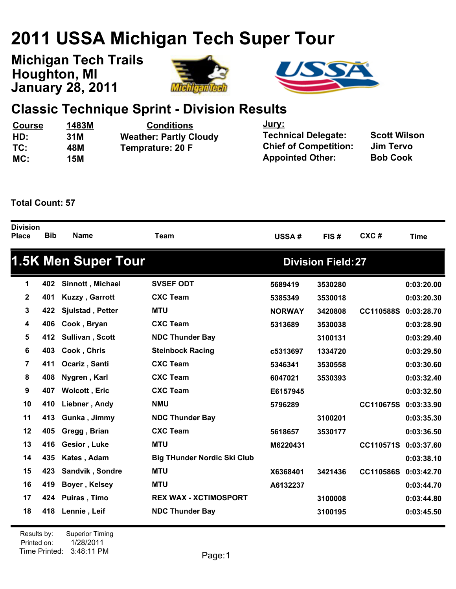# **2011 USSA Michigan Tech Super Tour**

**January 28, 2011 Michigan Tech Trails Houghton, MI**





### **Classic Technique Sprint - Division Results**

| <b>Course</b> | 1483M | <b>Conditions</b>             | <u>Jury:</u>                 |                     |
|---------------|-------|-------------------------------|------------------------------|---------------------|
| HD:           | 31M   | <b>Weather: Partly Cloudy</b> | <b>Technical Delegate:</b>   | <b>Scott Wilson</b> |
| TC:           | 48M   | Temprature: 20 F              | <b>Chief of Competition:</b> | Jim Tervo           |
| MC:           | 15M   |                               | <b>Appointed Other:</b>      | <b>Bob Cook</b>     |

**Total Count: 57**

| <b>Division</b><br>Place | <b>Bib</b> | <b>Name</b>                | <b>Team</b>                        | USSA#         | FIS#                      | CXC#             | <b>Time</b> |
|--------------------------|------------|----------------------------|------------------------------------|---------------|---------------------------|------------------|-------------|
|                          |            | <b>1.5K Men Super Tour</b> |                                    |               | <b>Division Field: 27</b> |                  |             |
| 1                        | 402        | Sinnott, Michael           | <b>SVSEF ODT</b>                   | 5689419       | 3530280                   |                  | 0:03:20.00  |
| $\mathbf 2$              | 401        | Kuzzy, Garrott             | <b>CXC Team</b>                    | 5385349       | 3530018                   |                  | 0:03:20.30  |
| 3                        | 422        | Sjulstad, Petter           | <b>MTU</b>                         | <b>NORWAY</b> | 3420808                   | <b>CC110588S</b> | 0:03:28.70  |
| 4                        | 406        | Cook, Bryan                | <b>CXC Team</b>                    | 5313689       | 3530038                   |                  | 0:03:28.90  |
| 5                        | 412        | Sullivan, Scott            | <b>NDC Thunder Bay</b>             |               | 3100131                   |                  | 0:03:29.40  |
| 6                        | 403        | Cook, Chris                | <b>Steinbock Racing</b>            | c5313697      | 1334720                   |                  | 0:03:29.50  |
| 7                        | 411        | Ocariz, Santi              | <b>CXC Team</b>                    | 5346341       | 3530558                   |                  | 0:03:30.60  |
| 8                        | 408        | Nygren, Karl               | <b>CXC Team</b>                    | 6047021       | 3530393                   |                  | 0:03:32.40  |
| 9                        | 407        | Wolcott, Eric              | <b>CXC Team</b>                    | E6157945      |                           |                  | 0:03:32.50  |
| 10                       | 410        | Liebner, Andy              | <b>NMU</b>                         | 5796289       |                           | <b>CC110675S</b> | 0:03:33.90  |
| 11                       | 413        | Gunka, Jimmy               | <b>NDC Thunder Bay</b>             |               | 3100201                   |                  | 0:03:35.30  |
| 12                       | 405        | Gregg, Brian               | <b>CXC Team</b>                    | 5618657       | 3530177                   |                  | 0:03:36.50  |
| 13                       | 416        | Gesior, Luke               | <b>MTU</b>                         | M6220431      |                           | <b>CC110571S</b> | 0:03:37.60  |
| 14                       | 435        | Kates, Adam                | <b>Big THunder Nordic Ski Club</b> |               |                           |                  | 0:03:38.10  |
| 15                       | 423        | Sandvik, Sondre            | <b>MTU</b>                         | X6368401      | 3421436                   | <b>CC110586S</b> | 0:03:42.70  |
| 16                       | 419        | Boyer, Kelsey              | <b>MTU</b>                         | A6132237      |                           |                  | 0:03:44.70  |
| 17                       | 424        | Puiras, Timo               | <b>REX WAX - XCTIMOSPORT</b>       |               | 3100008                   |                  | 0:03:44.80  |
| 18                       | 418        | Lennie, Leif               | <b>NDC Thunder Bay</b>             |               | 3100195                   |                  | 0:03:45.50  |
|                          |            |                            |                                    |               |                           |                  |             |

Printed on: Time Printed: 3:48:11 PMResults by: Superior Timing 1/28/2011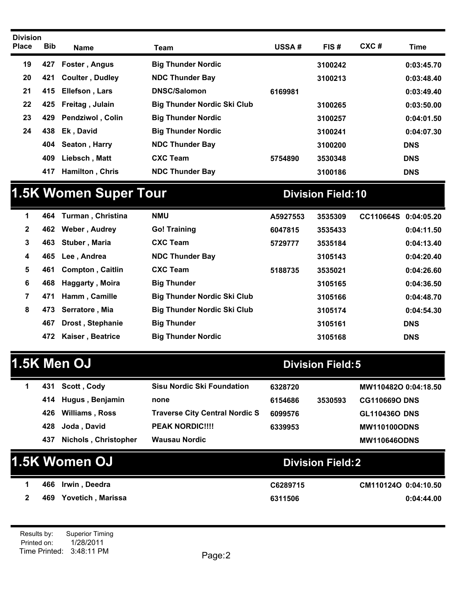| <b>Division</b><br><b>Place</b> | <b>Bib</b> | <b>Name</b>             | Team                               | <b>USSA#</b> | FIS#    | $CXC$ # | <b>Time</b> |
|---------------------------------|------------|-------------------------|------------------------------------|--------------|---------|---------|-------------|
| 19                              | 427        | Foster, Angus           | <b>Big Thunder Nordic</b>          |              | 3100242 |         | 0:03:45.70  |
| 20                              | 421        | <b>Coulter, Dudley</b>  | <b>NDC Thunder Bay</b>             |              | 3100213 |         | 0:03:48.40  |
| 21                              | 415        | <b>Ellefson, Lars</b>   | <b>DNSC/Salomon</b>                | 6169981      |         |         | 0:03:49.40  |
| 22                              |            | 425 Freitag, Julain     | <b>Big Thunder Nordic Ski Club</b> |              | 3100265 |         | 0:03:50.00  |
| 23                              | 429        | <b>Pendziwol, Colin</b> | <b>Big Thunder Nordic</b>          |              | 3100257 |         | 0:04:01.50  |
| 24                              | 438        | Ek, David               | <b>Big Thunder Nordic</b>          |              | 3100241 |         | 0:04:07.30  |
|                                 | 404        | Seaton, Harry           | <b>NDC Thunder Bay</b>             |              | 3100200 |         | <b>DNS</b>  |
|                                 | 409        | Liebsch, Matt           | <b>CXC Team</b>                    | 5754890      | 3530348 |         | <b>DNS</b>  |
|                                 | 417        | <b>Hamilton, Chris</b>  | <b>NDC Thunder Bay</b>             |              | 3100186 |         | <b>DNS</b>  |

## **1.5K Women Super Tour Division Field:10**

| 1            | 464 | Turman , Christina      | <b>NMU</b>                         | A5927553 | 3535309 | CC110664S 0:04:05.20 |            |
|--------------|-----|-------------------------|------------------------------------|----------|---------|----------------------|------------|
| $\mathbf{2}$ | 462 | Weber, Audrey           | <b>Go! Training</b>                | 6047815  | 3535433 |                      | 0:04:11.50 |
| 3            | 463 | Stuber, Maria           | <b>CXC Team</b>                    | 5729777  | 3535184 |                      | 0:04:13.40 |
| 4            | 465 | Lee, Andrea             | <b>NDC Thunder Bay</b>             |          | 3105143 |                      | 0:04:20.40 |
| 5            | 461 | <b>Compton, Caitlin</b> | <b>CXC Team</b>                    | 5188735  | 3535021 |                      | 0:04:26.60 |
| 6            | 468 | <b>Haggarty, Moira</b>  | <b>Big Thunder</b>                 |          | 3105165 |                      | 0:04:36.50 |
| 7            | 471 | Hamm, Camille           | <b>Big Thunder Nordic Ski Club</b> |          | 3105166 |                      | 0:04:48.70 |
| 8            | 473 | Serratore, Mia          | <b>Big Thunder Nordic Ski Club</b> |          | 3105174 |                      | 0:04:54.30 |
|              | 467 | Drost, Stephanie        | <b>Big Thunder</b>                 |          | 3105161 |                      | <b>DNS</b> |
|              | 472 | <b>Kaiser, Beatrice</b> | <b>Big Thunder Nordic</b>          |          | 3105168 |                      | <b>DNS</b> |

## **1.5K** Men OJ **Division Field:5**

|     | 431 Scott, Cody             | <b>Sisu Nordic Ski Foundation</b>     | 6328720 |         | MW110482O 0:04:18.50 |
|-----|-----------------------------|---------------------------------------|---------|---------|----------------------|
|     | 414 Hugus, Benjamin         | none                                  | 6154686 | 3530593 | <b>CG110669O DNS</b> |
| 426 | <b>Williams</b> , Ross      | <b>Traverse City Central Nordic S</b> | 6099576 |         | <b>GL110436O DNS</b> |
|     | 428 Joda, David             | <b>PEAK NORDIC!!!!</b>                | 6339953 |         | <b>MW110100ODNS</b>  |
| 437 | <b>Nichols, Christopher</b> | <b>Wausau Nordic</b>                  |         |         | <b>MW110646ODNS</b>  |

| 1.5K Women OJ |                           | <b>Division Field:2</b> |                      |
|---------------|---------------------------|-------------------------|----------------------|
|               | 466 Irwin, Deedra         | C6289715                | CM110124O 0:04:10.50 |
|               | Yovetich , Marissa<br>469 | 6311506                 | 0:04:44.00           |